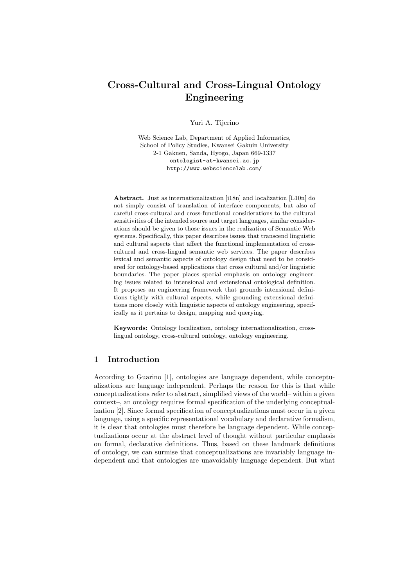# Cross-Cultural and Cross-Lingual Ontology Engineering

Yuri A. Tijerino

Web Science Lab, Department of Applied Informatics, School of Policy Studies, Kwansei Gakuin University 2-1 Gakuen, Sanda, Hyogo, Japan 669-1337 ontologist-at-kwansei.ac.jp http://www.websciencelab.com/

Abstract. Just as internationalization [i18n] and localization [L10n] do not simply consist of translation of interface components, but also of careful cross-cultural and cross-functional considerations to the cultural sensitivities of the intended source and target languages, similar considerations should be given to those issues in the realization of Semantic Web systems. Specifically, this paper describes issues that transcend linguistic and cultural aspects that affect the functional implementation of crosscultural and cross-lingual semantic web services. The paper describes lexical and semantic aspects of ontology design that need to be considered for ontology-based applications that cross cultural and/or linguistic boundaries. The paper places special emphasis on ontology engineering issues related to intensional and extensional ontological definition. It proposes an engineering framework that grounds intensional definitions tightly with cultural aspects, while grounding extensional definitions more closely with linguistic aspects of ontology engineering, specifically as it pertains to design, mapping and querying.

Keywords: Ontology localization, ontology internationalization, crosslingual ontology, cross-cultural ontology, ontology engineering.

## 1 Introduction

According to Guarino [1], ontologies are language dependent, while conceptualizations are language independent. Perhaps the reason for this is that while conceptualizations refer to abstract, simplified views of the world– within a given context–, an ontology requires formal specification of the underlying conceptualization [2]. Since formal specification of conceptualizations must occur in a given language, using a specific representational vocabulary and declarative formalism, it is clear that ontologies must therefore be language dependent. While conceptualizations occur at the abstract level of thought without particular emphasis on formal, declarative definitions. Thus, based on these landmark definitions of ontology, we can surmise that conceptualizations are invariably language independent and that ontologies are unavoidably language dependent. But what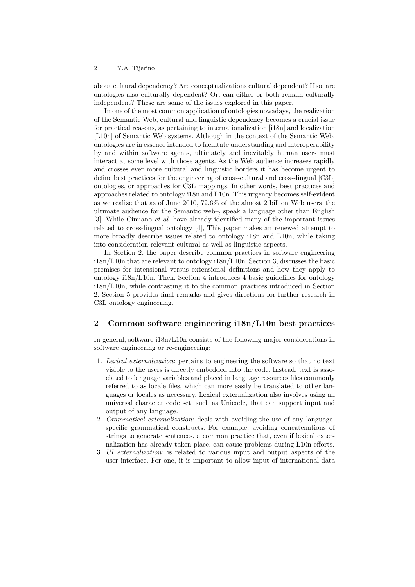about cultural dependency? Are conceptualizations cultural dependent? If so, are ontologies also culturally dependent? Or, can either or both remain culturally independent? These are some of the issues explored in this paper.

In one of the most common application of ontologies nowadays, the realization of the Semantic Web, cultural and linguistic dependency becomes a crucial issue for practical reasons, as pertaining to internationalization [i18n] and localization [L10n] of Semantic Web systems. Although in the context of the Semantic Web, ontologies are in essence intended to facilitate understanding and interoperability by and within software agents, ultimately and inevitably human users must interact at some level with those agents. As the Web audience increases rapidly and crosses ever more cultural and linguistic borders it has become urgent to define best practices for the engineering of cross-cultural and cross-lingual [C3L] ontologies, or approaches for C3L mappings. In other words, best practices and approaches related to ontology i18n and L10n. This urgency becomes self-evident as we realize that as of June 2010, 72.6% of the almost 2 billion Web users–the ultimate audience for the Semantic web–, speak a language other than English [3]. While Cimiano et al. have already identified many of the important issues related to cross-lingual ontology [4], This paper makes an renewed attempt to more broadly describe issues related to ontology i18n and L10n, while taking into consideration relevant cultural as well as linguistic aspects.

In Section 2, the paper describe common practices in software engineering i18n/L10n that are relevant to ontology i18n/L10n. Section 3, discusses the basic premises for intensional versus extensional definitions and how they apply to ontology i18n/L10n. Then, Section 4 introduces 4 basic guidelines for ontology i18n/L10n, while contrasting it to the common practices introduced in Section 2. Section 5 provides final remarks and gives directions for further research in C3L ontology engineering.

### 2 Common software engineering i18n/L10n best practices

In general, software i18n/L10n consists of the following major considerations in software engineering or re-engineering:

- 1. Lexical externalization: pertains to engineering the software so that no text visible to the users is directly embedded into the code. Instead, text is associated to language variables and placed in language resources files commonly referred to as locale files, which can more easily be translated to other languages or locales as necessary. Lexical externalization also involves using an universal character code set, such as Unicode, that can support input and output of any language.
- 2. Grammatical externalization: deals with avoiding the use of any languagespecific grammatical constructs. For example, avoiding concatenations of strings to generate sentences, a common practice that, even if lexical externalization has already taken place, can cause problems during L10n efforts.
- 3. UI externalization: is related to various input and output aspects of the user interface. For one, it is important to allow input of international data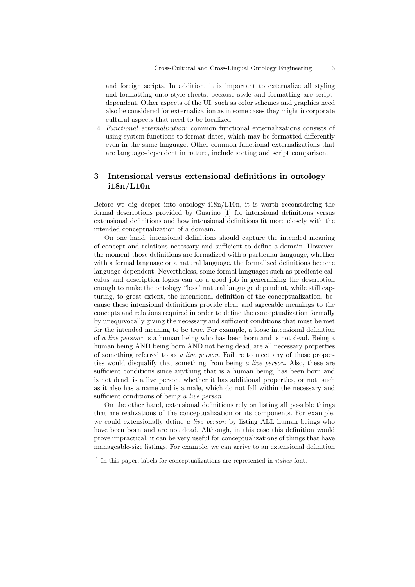and foreign scripts. In addition, it is important to externalize all styling and formatting onto style sheets, because style and formatting are scriptdependent. Other aspects of the UI, such as color schemes and graphics need also be considered for externalization as in some cases they might incorporate cultural aspects that need to be localized.

4. Functional externalization: common functional externalizations consists of using system functions to format dates, which may be formatted differently even in the same language. Other common functional externalizations that are language-dependent in nature, include sorting and script comparison.

## 3 Intensional versus extensional definitions in ontology i18n/L10n

Before we dig deeper into ontology i18n/L10n, it is worth reconsidering the formal descriptions provided by Guarino [1] for intensional definitions versus extensional definitions and how intensional definitions fit more closely with the intended conceptualization of a domain.

On one hand, intensional definitions should capture the intended meaning of concept and relations necessary and sufficient to define a domain. However, the moment those definitions are formalized with a particular language, whether with a formal language or a natural language, the formalized definitions become language-dependent. Nevertheless, some formal languages such as predicate calculus and description logics can do a good job in generalizing the description enough to make the ontology "less" natural language dependent, while still capturing, to great extent, the intensional definition of the conceptualization, because these intensional definitions provide clear and agreeable meanings to the concepts and relations required in order to define the conceptualization formally by unequivocally giving the necessary and sufficient conditions that must be met for the intended meaning to be true. For example, a loose intensional definition of *a live person*<sup>1</sup> is a human being who has been born and is not dead. Being a human being AND being born AND not being dead, are all necessary properties of something referred to as a live person. Failure to meet any of those properties would disqualify that something from being a live person. Also, these are sufficient conditions since anything that is a human being, has been born and is not dead, is a live person, whether it has additional properties, or not, such as it also has a name and is a male, which do not fall within the necessary and sufficient conditions of being a live person.

On the other hand, extensional definitions rely on listing all possible things that are realizations of the conceptualization or its components. For example, we could extensionally define a live person by listing ALL human beings who have been born and are not dead. Although, in this case this definition would prove impractical, it can be very useful for conceptualizations of things that have manageable-size listings. For example, we can arrive to an extensional definition

<sup>&</sup>lt;sup>1</sup> In this paper, labels for conceptualizations are represented in *italics* font.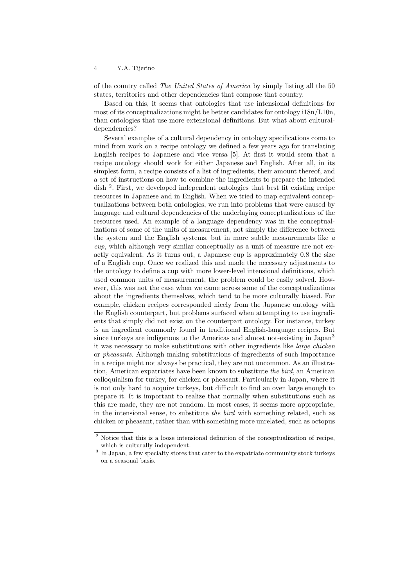of the country called The United States of America by simply listing all the 50 states, territories and other dependencies that compose that country.

Based on this, it seems that ontologies that use intensional definitions for most of its conceptualizations might be better candidates for ontology i18n/L10n, than ontologies that use more extensional definitions. But what about culturaldependencies?

Several examples of a cultural dependency in ontology specifications come to mind from work on a recipe ontology we defined a few years ago for translating English recipes to Japanese and vice versa [5]. At first it would seem that a recipe ontology should work for either Japanese and English. After all, in its simplest form, a recipe consists of a list of ingredients, their amount thereof, and a set of instructions on how to combine the ingredients to prepare the intended dish <sup>2</sup> . First, we developed independent ontologies that best fit existing recipe resources in Japanese and in English. When we tried to map equivalent conceptualizations between both ontologies, we run into problems that were caused by language and cultural dependencies of the underlaying conceptualizations of the resources used. An example of a language dependency was in the conceptualizations of some of the units of measurement, not simply the difference between the system and the English systems, but in more subtle measurements like  $a$ cup, which although very similar conceptually as a unit of measure are not exactly equivalent. As it turns out, a Japanese cup is approximately 0.8 the size of a English cup. Once we realized this and made the necessary adjustments to the ontology to define a cup with more lower-level intensional definitions, which used common units of measurement, the problem could be easily solved. However, this was not the case when we came across some of the conceptualizations about the ingredients themselves, which tend to be more culturally biased. For example, chicken recipes corresponded nicely from the Japanese ontology with the English counterpart, but problems surfaced when attempting to use ingredients that simply did not exist on the counterpart ontology. For instance, turkey is an ingredient commonly found in traditional English-language recipes. But since turkeys are indigenous to the Americas and almost not-existing in Japan<sup>3</sup> it was necessary to make substitutions with other ingredients like large chicken or pheasants. Although making substitutions of ingredients of such importance in a recipe might not always be practical, they are not uncommon. As an illustration, American expatriates have been known to substitute the bird, an American colloquialism for turkey, for chicken or pheasant. Particularly in Japan, where it is not only hard to acquire turkeys, but difficult to find an oven large enough to prepare it. It is important to realize that normally when substitutions such as this are made, they are not random. In most cases, it seems more appropriate, in the intensional sense, to substitute the bird with something related, such as chicken or pheasant, rather than with something more unrelated, such as octopus

 $2$  Notice that this is a loose intensional definition of the conceptualization of recipe, which is culturally independent.

<sup>&</sup>lt;sup>3</sup> In Japan, a few specialty stores that cater to the expatriate community stock turkeys on a seasonal basis.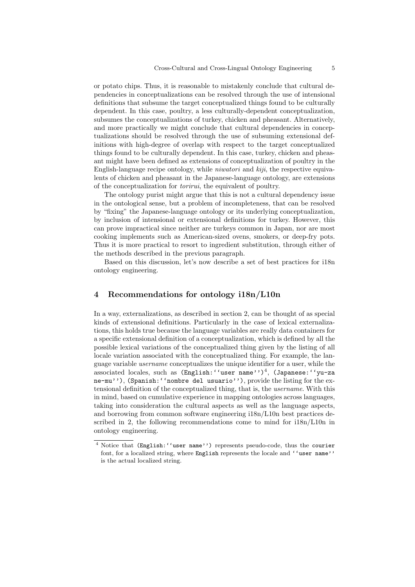or potato chips. Thus, it is reasonable to mistakenly conclude that cultural dependencies in conceptualizations can be resolved through the use of intensional definitions that subsume the target conceptualized things found to be culturally dependent. In this case, poultry, a less culturally-dependent conceptualization, subsumes the conceptualizations of turkey, chicken and pheasant. Alternatively, and more practically we might conclude that cultural dependencies in conceptualizations should be resolved through the use of subsuming extensional definitions with high-degree of overlap with respect to the target conceptualized things found to be culturally dependent. In this case, turkey, chicken and pheasant might have been defined as extensions of conceptualization of poultry in the English-language recipe ontology, while niwatori and kiji, the respective equivalents of chicken and pheasant in the Japanese-language ontology, are extensions of the conceptualization for torirui, the equivalent of poultry.

The ontology purist might argue that this is not a cultural dependency issue in the ontological sense, but a problem of incompleteness, that can be resolved by "fixing" the Japanese-language ontology or its underlying conceptualization, by inclusion of intensional or extensional definitions for turkey. However, this can prove impractical since neither are turkeys common in Japan, nor are most cooking implements such as American-sized ovens, smokers, or deep-fry pots. Thus it is more practical to resort to ingredient substitution, through either of the methods described in the previous paragraph.

Based on this discussion, let's now describe a set of best practices for i18n ontology engineering.

#### 4 Recommendations for ontology i18n/L10n

In a way, externalizations, as described in section 2, can be thought of as special kinds of extensional definitions. Particularly in the case of lexical externalizations, this holds true because the language variables are really data containers for a specific extensional definition of a conceptualization, which is defined by all the possible lexical variations of the conceptualized thing given by the listing of all locale variation associated with the conceptualized thing. For example, the language variable username conceptualizes the unique identifier for a user, while the associated locales, such as (English:''user name'')<sup>4</sup>, (Japanese:''yu-za ne-mu''), (Spanish: ''nombre del usuario''), provide the listing for the extensional definition of the conceptualized thing, that is, the username. With this in mind, based on cumulative experience in mapping ontologies across languages, taking into consideration the cultural aspects as well as the language aspects, and borrowing from common software engineering i18n/L10n best practices described in 2, the following recommendations come to mind for  $i18n/L10n$  in ontology engineering.

<sup>4</sup> Notice that (English:''user name'') represents pseudo-code, thus the courier font, for a localized string, where English represents the locale and ''user name'' is the actual localized string.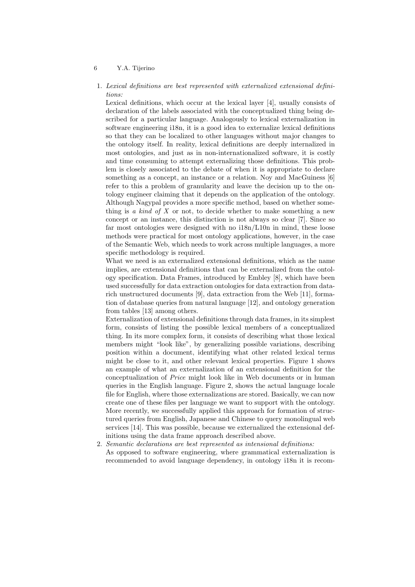1. Lexical definitions are best represented with externalized extensional definitions:

Lexical definitions, which occur at the lexical layer [4], usually consists of declaration of the labels associated with the conceptualized thing being described for a particular language. Analogously to lexical externalization in software engineering i18n, it is a good idea to externalize lexical definitions so that they can be localized to other languages without major changes to the ontology itself. In reality, lexical definitions are deeply internalized in most ontologies, and just as in non-internationalized software, it is costly and time consuming to attempt externalizing those definitions. This problem is closely associated to the debate of when it is appropriate to declare something as a concept, an instance or a relation. Noy and MacGuiness [6] refer to this a problem of granularity and leave the decision up to the ontology engineer claiming that it depends on the application of the ontology. Although Nagypal provides a more specific method, based on whether something is a kind of  $X$  or not, to decide whether to make something a new concept or an instance, this distinction is not always so clear [7]. Since so far most ontologies were designed with no i18n/L10n in mind, these loose methods were practical for most ontology applications, however, in the case of the Semantic Web, which needs to work across multiple languages, a more specific methodology is required.

What we need is an externalized extensional definitions, which as the name implies, are extensional definitions that can be externalized from the ontology specification. Data Frames, introduced by Embley [8], which have been used successfully for data extraction ontologies for data extraction from datarich unstructured documents [9], data extraction from the Web [11], formation of database queries from natural language [12], and ontology generation from tables [13] among others.

Externalization of extensional definitions through data frames, in its simplest form, consists of listing the possible lexical members of a conceptualized thing. In its more complex form, it consists of describing what those lexical members might "look like", by generalizing possible variations, describing position within a document, identifying what other related lexical terms might be close to it, and other relevant lexical properties. Figure 1 shows an example of what an externalization of an extensional definition for the conceptualization of Price might look like in Web documents or in human queries in the English language. Figure 2, shows the actual language locale file for English, where those externalizations are stored. Basically, we can now create one of these files per language we want to support with the ontology. More recently, we successfully applied this approach for formation of structured queries from English, Japanese and Chinese to query monolingual web services [14]. This was possible, because we externalized the extensional definitions using the data frame approach described above.

2. Semantic declarations are best represented as intensional definitions:

As opposed to software engineering, where grammatical externalization is recommended to avoid language dependency, in ontology i18n it is recom-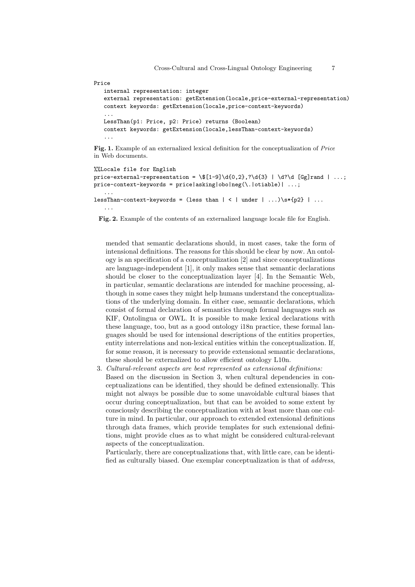#### Price

```
internal representation: integer
external representation: getExtension(locale,price-external-representation)
context keywords: getExtension(locale,price-context-keywords)
...
LessThan(p1: Price, p2: Price) returns (Boolean)
context keywords: getExtension(locale,lessThan-context-keywords)
...
```
Fig. 1. Example of an externalized lexical definition for the conceptualization of Price in Web documents.

```
%%Locale file for English
price-external-representation = \f1-9 \d{0,2},?\d{3} | \d?\d [Gg]rand | ...;
price-context-keywords = price|asking|obo|neg(\.|otiable)| ...;
   ...
lessThan-context-keywords = (less than | \lt | under | \ldots)\s*{p2} | \ldots...
```
Fig. 2. Example of the contents of an externalized language locale file for English.

mended that semantic declarations should, in most cases, take the form of intensional definitions. The reasons for this should be clear by now. An ontology is an specification of a conceptualization [2] and since conceptualizations are language-independent [1], it only makes sense that semantic declarations should be closer to the conceptualization layer [4]. In the Semantic Web, in particular, semantic declarations are intended for machine processing, although in some cases they might help humans understand the conceptualizations of the underlying domain. In either case, semantic declarations, which consist of formal declaration of semantics through formal languages such as KIF, Ontolingua or OWL. It is possible to make lexical declarations with these language, too, but as a good ontology i18n practice, these formal languages should be used for intensional descriptions of the entities properties, entity interrelations and non-lexical entities within the conceptualization. If, for some reason, it is necessary to provide extensional semantic declarations, these should be externalized to allow efficient ontology L10n.

3. Cultural-relevant aspects are best represented as extensional definitions:

Based on the discussion in Section 3, when cultural dependencies in conceptualizations can be identified, they should be defined extensionally. This might not always be possible due to some unavoidable cultural biases that occur during conceptualization, but that can be avoided to some extent by consciously describing the conceptualization with at least more than one culture in mind. In particular, our approach to extended extensional definitions through data frames, which provide templates for such extensional definitions, might provide clues as to what might be considered cultural-relevant aspects of the conceptualization.

Particularly, there are conceptualizations that, with little care, can be identified as culturally biased. One exemplar conceptualization is that of address,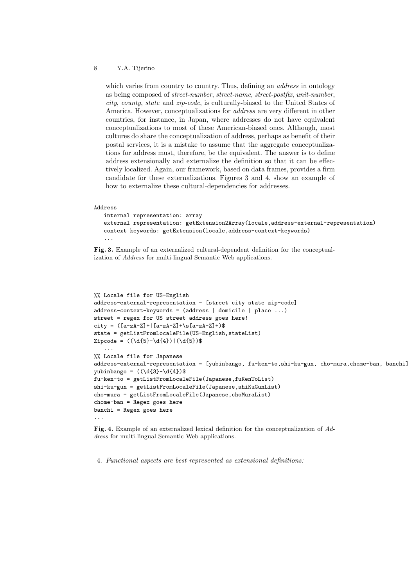which varies from country to country. Thus, defining an *address* in ontology as being composed of street-number, street-name, street-postfix, unit-number, city, county, state and zip-code, is culturally-biased to the United States of America. However, conceptualizations for address are very different in other countries, for instance, in Japan, where addresses do not have equivalent conceptualizations to most of these American-biased ones. Although, most cultures do share the conceptualization of address, perhaps as benefit of their postal services, it is a mistake to assume that the aggregate conceptualizations for address must, therefore, be the equivalent. The answer is to define address extensionally and externalize the definition so that it can be effectively localized. Again, our framework, based on data frames, provides a firm candidate for these externalizations. Figures 3 and 4, show an example of how to externalize these cultural-dependencies for addresses.

#### Address

```
internal representation: array
external representation: getExtension2Array(locale,address-external-representation)
context keywords: getExtension(locale,address-context-keywords)
...
```
Fig. 3. Example of an externalized cultural-dependent definition for the conceptualization of Address for multi-lingual Semantic Web applications.

```
%% Locale file for US-English
address-external-representation = [street city state zip-code]
address-context-keywords = (address | domicile | place ...)
street = regex for US street address goes here!
city = ([a-zA-Z]+|[a-zA-Z]+\s[a-zA-Z]+)$
state = getListFromLocaleFile(US-English,stateList)
Zipcode = ((\d{5} - \d{4}))((\d{5})...
%% Locale file for Japanese
address-external-representation = [yubinbango, fu-ken-to,shi-ku-gun, cho-mura,chome-ban, banchi]
yubinbango = ((\d{3}-\d{4})\fu-ken-to = getListFromLocaleFile(Japanese,fuKenToList)
shi-ku-gun = getListFromLocaleFile(Japanese,shiKuGunList)
cho-mura = getListFromLocaleFile(Japanese,choMuraList)
chome-ban = Regex goes here
banchi = Regex goes here
...
```
Fig. 4. Example of an externalized lexical definition for the conceptualization of Address for multi-lingual Semantic Web applications.

4. Functional aspects are best represented as extensional definitions: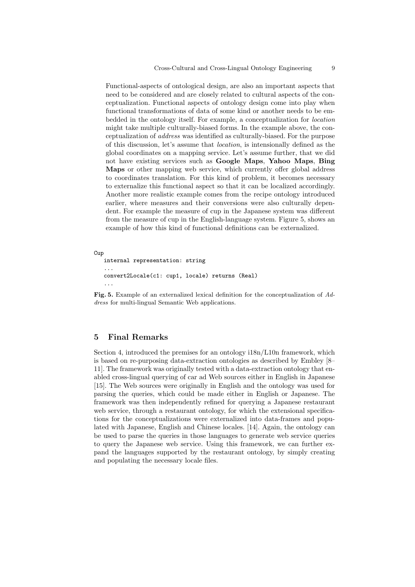Functional-aspects of ontological design, are also an important aspects that need to be considered and are closely related to cultural aspects of the conceptualization. Functional aspects of ontology design come into play when functional transformations of data of some kind or another needs to be embedded in the ontology itself. For example, a conceptualization for location might take multiple culturally-biased forms. In the example above, the conceptualization of address was identified as culturally-biased. For the purpose of this discussion, let's assume that location, is intensionally defined as the global coordinates on a mapping service. Let's assume further, that we did not have existing services such as Google Maps, Yahoo Maps, Bing Maps or other mapping web service, which currently offer global address to coordinates translation. For this kind of problem, it becomes necessary to externalize this functional aspect so that it can be localized accordingly. Another more realistic example comes from the recipe ontology introduced earlier, where measures and their conversions were also culturally dependent. For example the measure of cup in the Japanese system was different from the measure of cup in the English-language system. Figure 5, shows an example of how this kind of functional definitions can be externalized.

Cup

```
internal representation: string
...
convert2Locale(c1: cup1, locale) returns (Real)
...
```
Fig. 5. Example of an externalized lexical definition for the conceptualization of Address for multi-lingual Semantic Web applications.

### 5 Final Remarks

Section 4, introduced the premises for an ontology i18n/L10n framework, which is based on re-purposing data-extraction ontologies as described by Embley [8– 11]. The framework was originally tested with a data-extraction ontology that enabled cross-lingual querying of car ad Web sources either in English in Japanese [15]. The Web sources were originally in English and the ontology was used for parsing the queries, which could be made either in English or Japanese. The framework was then independently refined for querying a Japanese restaurant web service, through a restaurant ontology, for which the extensional specifications for the conceptualizations were externalized into data-frames and populated with Japanese, English and Chinese locales. [14]. Again, the ontology can be used to parse the queries in those languages to generate web service queries to query the Japanese web service. Using this framework, we can further expand the languages supported by the restaurant ontology, by simply creating and populating the necessary locale files.